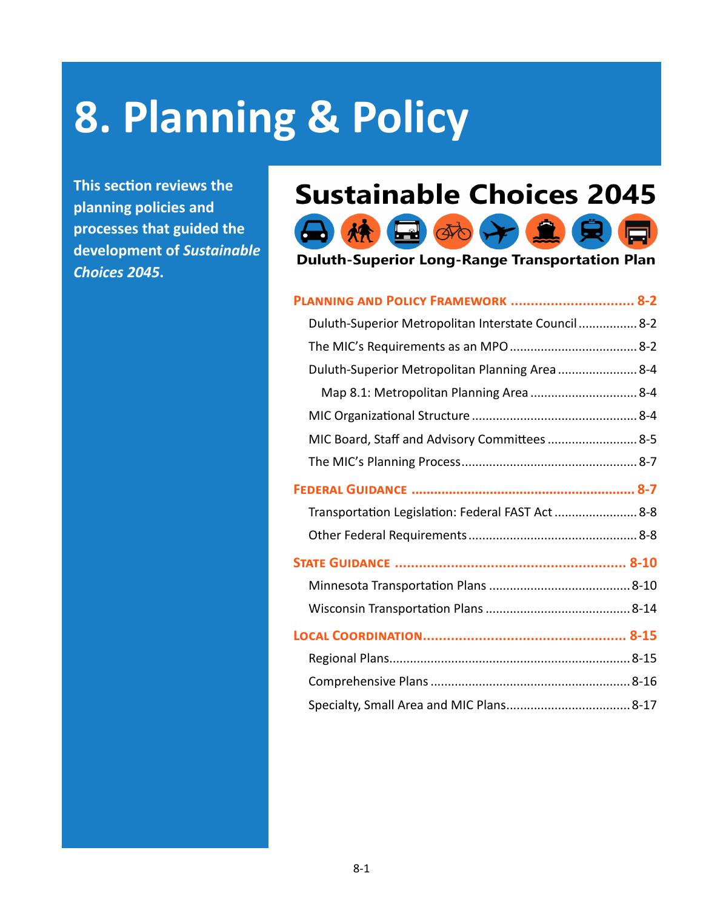# **8. Planning & Policy**

**This section reviews the planning policies and processes that guided the development of** *Sustainable Choices 2045***.**

## **Sustainable Choices 2045**



**Duluth-Superior Long-Range Transportation Plan** 

| PLANNING AND POLICY FRAMEWORK  8-2                  |  |
|-----------------------------------------------------|--|
| Duluth-Superior Metropolitan Interstate Council 8-2 |  |
|                                                     |  |
| Duluth-Superior Metropolitan Planning Area 8-4      |  |
| Map 8.1: Metropolitan Planning Area  8-4            |  |
|                                                     |  |
| MIC Board, Staff and Advisory Committees  8-5       |  |
|                                                     |  |
|                                                     |  |
| Transportation Legislation: Federal FAST Act  8-8   |  |
|                                                     |  |
|                                                     |  |
|                                                     |  |
|                                                     |  |
|                                                     |  |
|                                                     |  |
|                                                     |  |
|                                                     |  |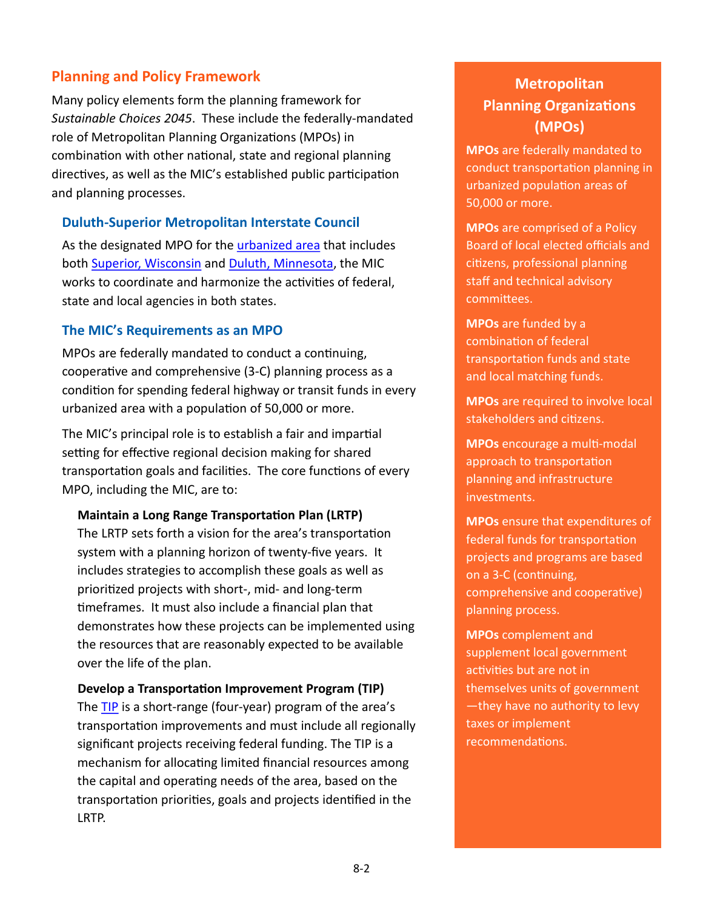#### <span id="page-1-0"></span>**Planning and Policy Framework**

Many policy elements form the planning framework for *Sustainable Choices 2045*. These include the federally-mandated role of Metropolitan Planning Organizations (MPOs) in combination with other national, state and regional planning directives, as well as the MIC's established public participation and planning processes.

#### **Duluth-Superior Metropolitan Interstate Council**

As the designated MPO for the [urbanized](https://www.fhwa.dot.gov/planning/census_issues/archives/metropolitan_planning/faqa2cdt.cfm) area that includes both Superior, [Wisconsin](http://www.ci.superior.wi.us/) and Duluth, [Minnesota,](http://www.duluthmn.gov/) the MIC works to coordinate and harmonize the activities of federal, state and local agencies in both states.

#### **The MIC's Requirements as an MPO**

MPOs are federally mandated to conduct a continuing, cooperative and comprehensive (3-C) planning process as a condition for spending federal highway or transit funds in every urbanized area with a population of 50,000 or more.

The MIC's principal role is to establish a fair and impartial setting for effective regional decision making for shared transportation goals and facilities. The core functions of every MPO, including the MIC, are to:

#### **Maintain a Long Range Transportation Plan (LRTP)**

The LRTP sets forth a vision for the area's transportation system with a planning horizon of twenty-five years. It includes strategies to accomplish these goals as well as prioritized projects with short-, mid- and long-term timeframes. It must also include a financial plan that demonstrates how these projects can be implemented using the resources that are reasonably expected to be available over the life of the plan.

#### **Develop a Transportation Improvement Program (TIP)**

The [TIP](https://dsmic.org/transportation-improvement-program/) is a short-range (four-year) program of the area's transportation improvements and must include all regionally significant projects receiving federal funding. The TIP is a mechanism for allocating limited financial resources among the capital and operating needs of the area, based on the transportation priorities, goals and projects identified in the LRTP.

#### **Metropolitan Planning Organizations (MPOs)**

**MPOs** are federally mandated to conduct transportation planning in urbanized population areas of 50,000 or more.

**MPOs** are comprised of a Policy Board of local elected officials and citizens, professional planning staff and technical advisory committees.

**MPOs** are funded by a combination of federal transportation funds and state and local matching funds.

**MPOs** are required to involve local stakeholders and citizens.

**MPOs** encourage a multi-modal approach to transportation planning and infrastructure investments.

**MPOs** ensure that expenditures of federal funds for transportation projects and programs are based on a 3-C (continuing, comprehensive and cooperative) planning process.

**MPOs** complement and supplement local government activities but are not in themselves units of government —they have no authority to levy taxes or implement recommendations.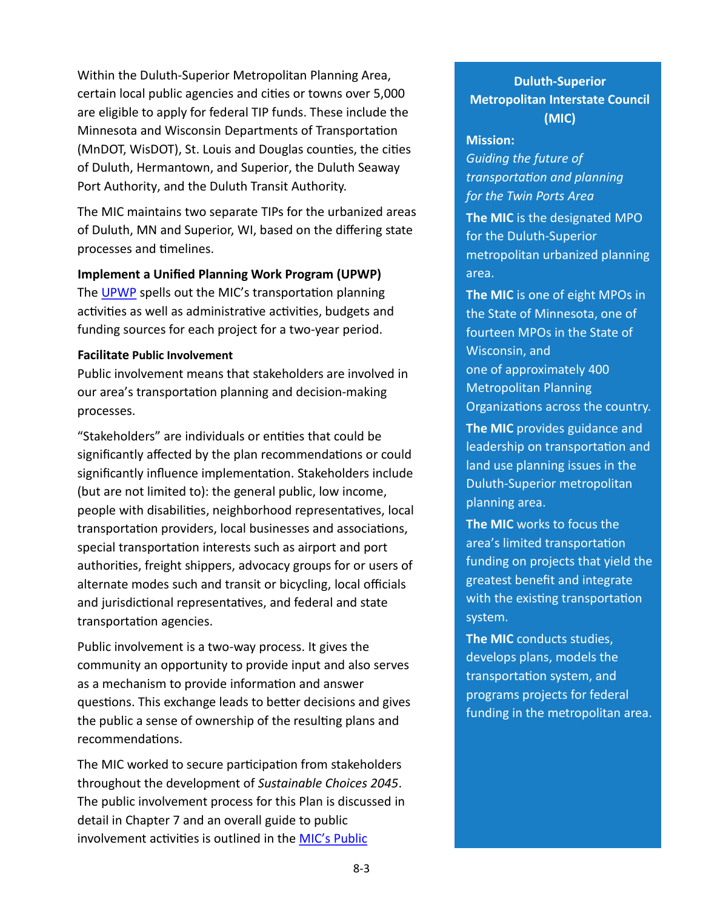Within the Duluth-Superior Metropolitan Planning Area, certain local public agencies and cities or towns over 5,000 are eligible to apply for federal TIP funds. These include the Minnesota and Wisconsin Departments of Transportation (MnDOT, WisDOT), St. Louis and Douglas counties, the cities of Duluth, Hermantown, and Superior, the Duluth Seaway Port Authority, and the Duluth Transit Authority.

The MIC maintains two separate TIPs for the urbanized areas of Duluth, MN and Superior, WI, based on the differing state processes and timelines.

#### **Implement a Unified Planning Work Program (UPWP)**

The [UPWP](https://dsmic.org/planning/work-program-budget/) spells out the MIC's transportation planning activities as well as administrative activities, budgets and funding sources for each project for a two-year period.

#### **Facilitate Public Involvement**

Public involvement means that stakeholders are involved in our area's transportation planning and decision-making processes.

"Stakeholders" are individuals or entities that could be significantly affected by the plan recommendations or could significantly influence implementation. Stakeholders include (but are not limited to): the general public, low income, people with disabilities, neighborhood representatives, local transportation providers, local businesses and associations, special transportation interests such as airport and port authorities, freight shippers, advocacy groups for or users of alternate modes such and transit or bicycling, local officials and jurisdictional representatives, and federal and state transportation agencies.

Public involvement is a two-way process. It gives the community an opportunity to provide input and also serves as a mechanism to provide information and answer questions. This exchange leads to better decisions and gives the public a sense of ownership of the resulting plans and recommendations.

The MIC worked to secure participation from stakeholders throughout the development of *Sustainable Choices 2045*. The public involvement process for this Plan is discussed in detail in Chapter 7 and an overall guide to public involvement activities is outlined in the MIC's [Public](https://dsmic.org/study/public-involvement-plan-2018/)

#### **Duluth-Superior Metropolitan Interstate Council (MIC)**

#### **Mission:**

*Guiding the future of transportation and planning for the Twin Ports Area*

**The MIC** is the designated MPO for the Duluth-Superior metropolitan urbanized planning area.

**The MIC** is one of eight MPOs in the State of Minnesota, one of fourteen MPOs in the State of Wisconsin, and one of approximately 400 Metropolitan Planning Organizations across the country. **The MIC** provides guidance and leadership on transportation and land use planning issues in the Duluth-Superior metropolitan planning area.

**The MIC** works to focus the area's limited transportation funding on projects that yield the greatest benefit and integrate with the existing transportation system.

**The MIC** conducts studies, develops plans, models the transportation system, and programs projects for federal funding in the metropolitan area.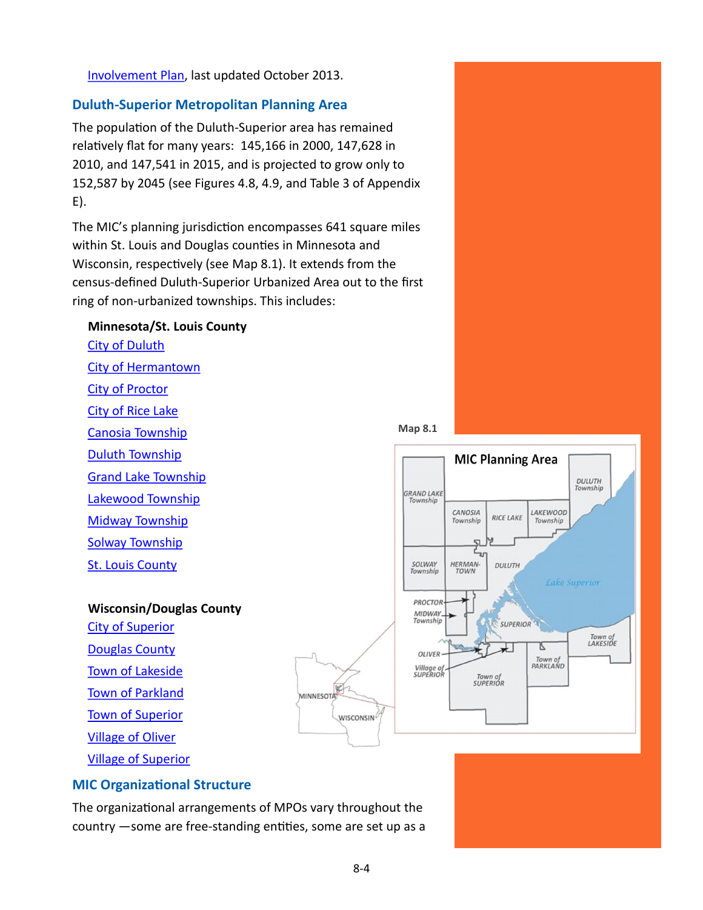[Involvement](https://dsmic.org/study/public-involvement-plan-2018/) Plan, last updated October 2013.

#### **Duluth-Superior Metropolitan Planning Area**

The population of the Duluth-Superior area has remained relatively flat for many years: 145,166 in 2000, 147,628 in 2010, and 147,541 in 2015, and is projected to grow only to 152,587 by 2045 (see Figures 4.8, 4.9, and Table 3 of Appendix E).

The MIC's planning jurisdiction encompasses 641 square miles within St. Louis and Douglas counties in Minnesota and Wisconsin, respectively (see Map 8.1). It extends from the census-defined Duluth-Superior Urbanized Area out to the first ring of non-urbanized townships. This includes:

### **Minnesota/St. Louis County** [City of Duluth](http://www.duluthmn.gov/) [City of Hermantown](http://www.hermantownmn.com/) [City of Proctor](http://www.proctormn.gov/) [City of Rice Lake](https://www.ricelakecitymn.com/) Canosia [Township](http://www.canosiatownship.org/) Duluth [Township](http://www.duluthtownship.org/) [Grand Lake](http://www.grandlaketownship.org/) Township [Lakewood](http://www.lakewoodmn.org/) Township Midway [Township](http://www.midwaytwpmn.govoffice2.com/) Solway [Township](https://www.solwaytownship-mn.gov/) [St. Louis County](https://www.stlouiscountymn.gov/)

- **Wisconsin/Douglas County** [City of Superior](http://www.ci.superior.wi.us) [Douglas County](http://www.douglascountywi.org/) [Town of Lakeside](http://townoflakeside.com/) [Town of Parkland](http://www.douglascountywi.org/index.aspx?NID=519)
- [Town of Superior](http://www.townofsuperior.net/)

[Village of Oliver](http://www.douglascountywi.org/index.aspx?NID=530)

[Village of Superior](http://villageofsuperior.org/)

#### **Map 8.1**



#### **MIC Organizational Structure**

The organizational arrangements of MPOs vary throughout the country —some are free-standing entities, some are set up as a

MINNESOTA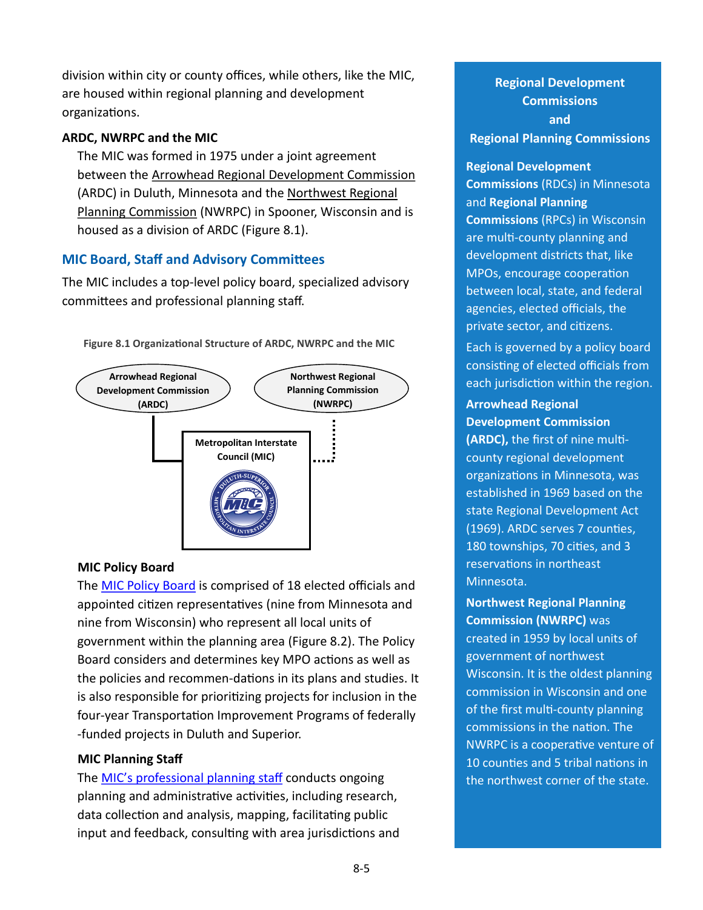division within city or county offices, while others, like the MIC, are housed within regional planning and development organizations.

#### **ARDC, NWRPC and the MIC**

The MIC was formed in 1975 under a joint agreement between the Arrowhead Regional [Development](https://ardc.org/) Commission (ARDC) in Duluth, Minnesota and the [Northwest](http://www.nwrpc.com/) Regional Planning [Commission](http://www.nwrpc.com/) (NWRPC) in Spooner, Wisconsin and is housed as a division of ARDC (Figure 8.1).

#### **MIC Board, Staff and Advisory Committees**

The MIC includes a top-level policy board, specialized advisory committees and professional planning staff.



**Figure 8.1 Organizational Structure of ARDC, NWRPC and the MIC**

#### **MIC Policy Board**

The MIC Policy [Board](https://dsmic.org/board-committees/policy-board/) is comprised of 18 elected officials and appointed citizen representatives (nine from Minnesota and nine from Wisconsin) who represent all local units of government within the planning area (Figure 8.2). The Policy Board considers and determines key MPO actions as well as the policies and recommen-dations in its plans and studies. It is also responsible for prioritizing projects for inclusion in the four-year Transportation Improvement Programs of federally -funded projects in Duluth and Superior.

#### **MIC Planning Staff**

The MIC's [professional](https://dsmic.org/about/staff/) planning staff conducts ongoing planning and administrative activities, including research, data collection and analysis, mapping, facilitating public input and feedback, consulting with area jurisdictions and

#### **Regional Development Commissions and Regional Planning Commissions**

#### **Regional Development**

**Commissions** (RDCs) in Minnesota and **Regional Planning Commissions** (RPCs) in Wisconsin are multi-county planning and development districts that, like MPOs, encourage cooperation between local, state, and federal agencies, elected officials, the private sector, and citizens.

Each is governed by a policy board consisting of elected officials from each jurisdiction within the region.

#### **Arrowhead Regional**

**Development Commission (ARDC),** the first of nine multicounty regional development organizations in Minnesota, was established in 1969 based on the state Regional Development Act (1969). ARDC serves 7 counties, 180 townships, 70 cities, and 3 reservations in northeast Minnesota.

**Northwest Regional Planning Commission (NWRPC)** was created in 1959 by local units of government of northwest Wisconsin. It is the oldest planning commission in Wisconsin and one of the first multi-county planning commissions in the nation. The NWRPC is a cooperative venture of 10 counties and 5 tribal nations in the northwest corner of the state.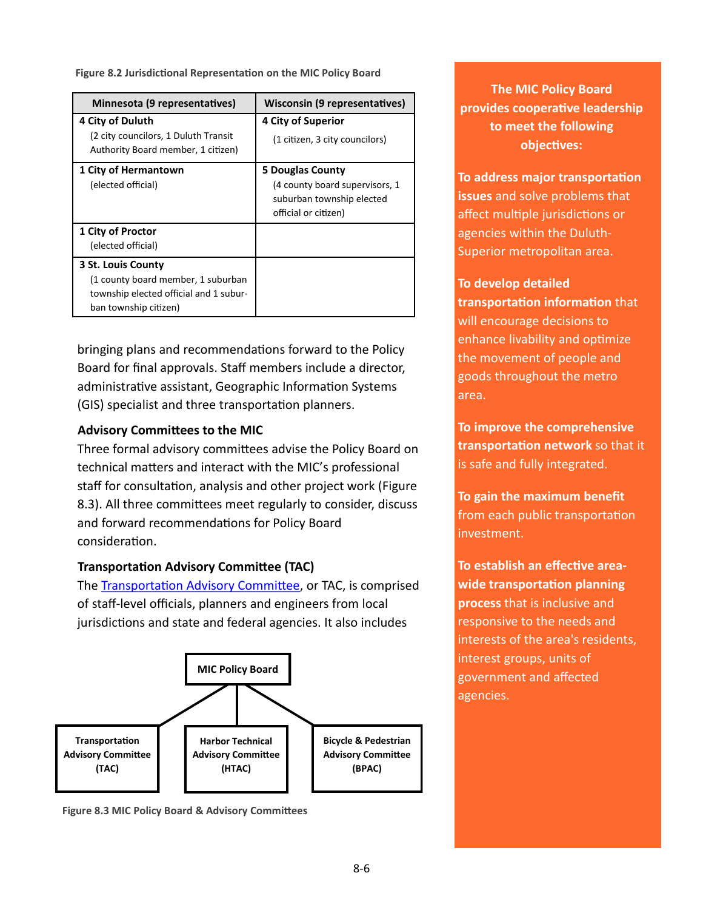**Figure 8.2 Jurisdictional Representation on the MIC Policy Board**

| Minnesota (9 representatives)                                                                                               | <b>Wisconsin (9 representatives)</b>                                                                     |
|-----------------------------------------------------------------------------------------------------------------------------|----------------------------------------------------------------------------------------------------------|
| 4 City of Duluth<br>(2 city councilors, 1 Duluth Transit<br>Authority Board member, 1 citizen)                              | 4 City of Superior<br>(1 citizen, 3 city councilors)                                                     |
| 1 City of Hermantown<br>(elected official)                                                                                  | 5 Douglas County<br>(4 county board supervisors, 1)<br>suburban township elected<br>official or citizen) |
| 1 City of Proctor<br>(elected official)                                                                                     |                                                                                                          |
| 3 St. Louis County<br>(1 county board member, 1 suburban<br>township elected official and 1 subur-<br>ban township citizen) |                                                                                                          |

bringing plans and recommendations forward to the Policy Board for final approvals. Staff members include a director, administrative assistant, Geographic Information Systems (GIS) specialist and three transportation planners.

#### **Advisory Committees to the MIC**

Three formal advisory committees advise the Policy Board on technical matters and interact with the MIC's professional staff for consultation, analysis and other project work (Figure 8.3). All three committees meet regularly to consider, discuss and forward recommendations for Policy Board consideration.

#### **Transportation Advisory Committee (TAC)**

The [Transportation](https://dsmic.org/board-committees/tac/) Advisory Committee, or TAC, is comprised of staff-level officials, planners and engineers from local jurisdictions and state and federal agencies. It also includes





**The MIC Policy Board provides cooperative leadership to meet the following objectives:**

**To address major transportation issues** and solve problems that affect multiple jurisdictions or agencies within the Duluth-Superior metropolitan area.

#### **To develop detailed**

**transportation information** that will encourage decisions to enhance livability and optimize the movement of people and goods throughout the metro area.

**To improve the comprehensive transportation network** so that it is safe and fully integrated.

**To gain the maximum benefit** from each public transportation investment.

**To establish an effective areawide transportation planning process** that is inclusive and responsive to the needs and interests of the area's residents, interest groups, units of government and affected agencies.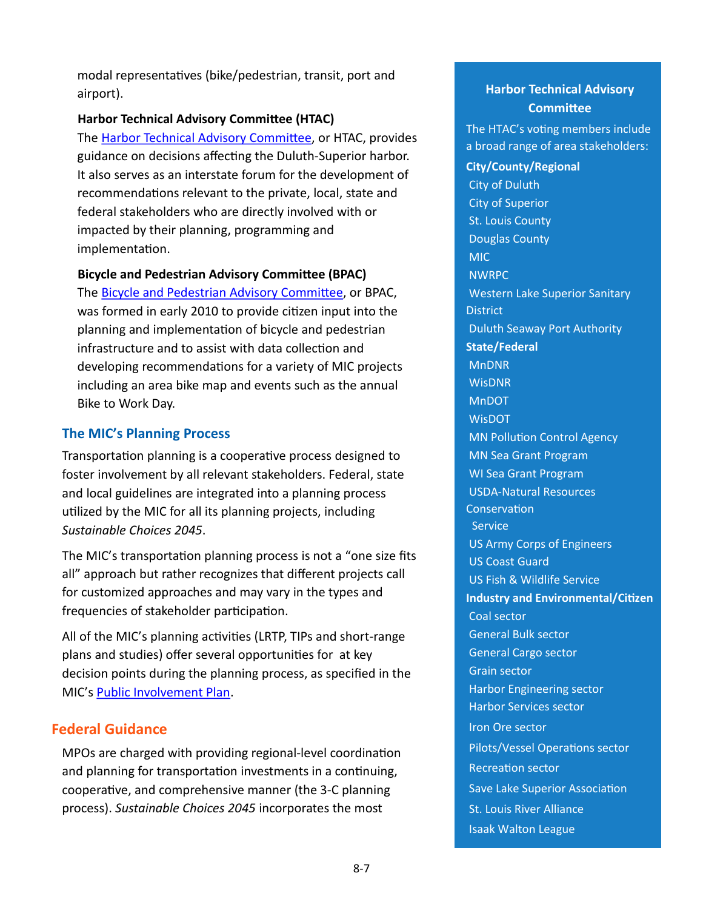modal representatives (bike/pedestrian, transit, port and airport).

#### **Harbor Technical Advisory Committee (HTAC)**

The Harbor Technical Advisory [Committee,](https://dsmic.org/board-committees/htac/) or HTAC, provides guidance on decisions affecting the Duluth-Superior harbor. It also serves as an interstate forum for the development of recommendations relevant to the private, local, state and federal stakeholders who are directly involved with or impacted by their planning, programming and implementation.

#### **Bicycle and Pedestrian Advisory Committee (BPAC)**

The Bicycle and Pedestrian Advisory [Committee,](https://dsmic.org/board-committees/bpac/) or BPAC, was formed in early 2010 to provide citizen input into the planning and implementation of bicycle and pedestrian infrastructure and to assist with data collection and developing recommendations for a variety of MIC projects including an area bike map and events such as the annual Bike to Work Day.

#### **The MIC's Planning Process**

Transportation planning is a cooperative process designed to foster involvement by all relevant stakeholders. Federal, state and local guidelines are integrated into a planning process utilized by the MIC for all its planning projects, including *Sustainable Choices 2045*.

The MIC's transportation planning process is not a "one size fits all" approach but rather recognizes that different projects call for customized approaches and may vary in the types and frequencies of stakeholder participation.

All of the MIC's planning activities (LRTP, TIPs and short-range plans and studies) offer several opportunities for at key decision points during the planning process, as specified in the MIC's [Public Involvement Plan.](https://dsmic.org/wp-content/uploads/2018/01/MIC-Public-Involvement-Plan-2018-Update-FINAL.pdf)

#### **Federal Guidance**

MPOs are charged with providing regional-level coordination and planning for transportation investments in a continuing, cooperative, and comprehensive manner (the 3-C planning process). *Sustainable Choices 2045* incorporates the most

#### **Harbor Technical Advisory Committee**

The HTAC's voting members include a broad range of area stakeholders:

#### **City/County/Regional** City of Duluth City of Superior St. Louis County Douglas County MIC NWRPC Western Lake Superior Sanitary **District** Duluth Seaway Port Authority **State/Federal** MnDNR WisDNR MnDOT WisDOT MN Pollution Control Agency MN Sea Grant Program WI Sea Grant Program USDA-Natural Resources **Conservation**  Service US Army Corps of Engineers US Coast Guard US Fish & Wildlife Service **Industry and Environmental/Citizen** Coal sector General Bulk sector General Cargo sector Grain sector Harbor Engineering sector Harbor Services sector Iron Ore sector Pilots/Vessel Operations sector Recreation sector Save Lake Superior Association St. Louis River Alliance Isaak Walton League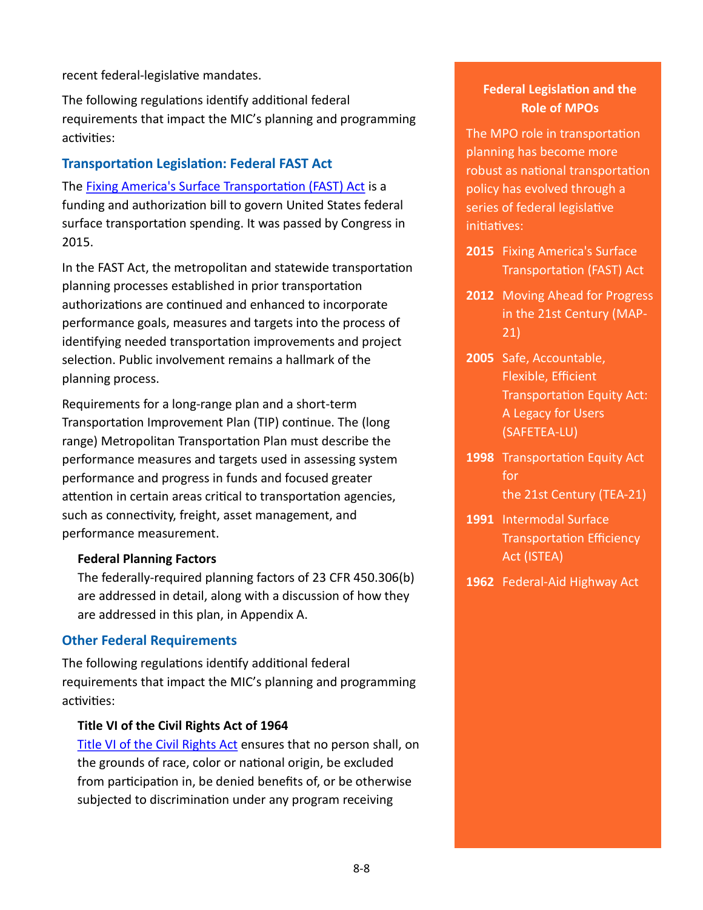recent federal-legislative mandates.

The following regulations identify additional federal requirements that impact the MIC's planning and programming activities:

#### **Transportation Legislation: Federal FAST Act**

The [Fixing America's Surface Transportation \(FAST\) Act](https://www.fhwa.dot.gov/fastact/) is a funding and authorization bill to govern United States federal surface transportation spending. It was passed by Congress in 2015.

In the FAST Act, the metropolitan and statewide transportation planning processes established in prior transportation authorizations are continued and enhanced to incorporate performance goals, measures and targets into the process of identifying needed transportation improvements and project selection. Public involvement remains a hallmark of the planning process.

Requirements for a long-range plan and a short-term Transportation Improvement Plan (TIP) continue. The (long range) Metropolitan Transportation Plan must describe the performance measures and targets used in assessing system performance and progress in funds and focused greater attention in certain areas critical to transportation agencies, such as connectivity, freight, asset management, and performance measurement.

#### **Federal Planning Factors**

The federally-required planning factors of 23 CFR 450.306(b) are addressed in detail, along with a discussion of how they are addressed in this plan, in Appendix A.

#### **Other Federal Requirements**

The following regulations identify additional federal requirements that impact the MIC's planning and programming activities:

#### **Title VI of the Civil Rights Act of 1964**

Title VI of the Civil [Rights](http://www.fhwa.dot.gov/environment/title_vi.htm) Act ensures that no person shall, on the grounds of race, color or national origin, be excluded from participation in, be denied benefits of, or be otherwise subjected to discrimination under any program receiving

#### **Federal Legislation and the Role of MPOs**

The MPO role in transportation planning has become more robust as national transportation policy has evolved through a series of federal legislative initiatives:

- **2015** Fixing America's Surface Transportation (FAST) Act
- **2012** Moving Ahead for Progress in the 21st Century (MAP-21)
- **2005** Safe, Accountable, Flexible, Efficient Transportation Equity Act: A Legacy for Users (SAFETEA-LU)
- **1998** Transportation Equity Act for the 21st Century (TEA-21)
- **1991** Intermodal Surface Transportation Efficiency Act (ISTEA)
- **1962** Federal-Aid Highway Act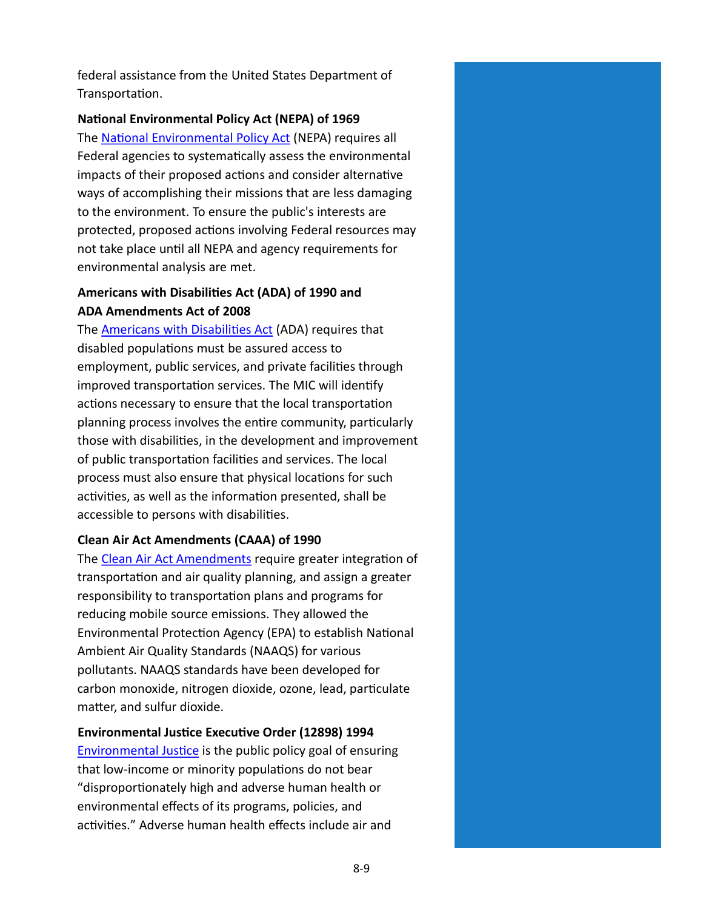<span id="page-8-0"></span>federal assistance from the United States Department of Transportation.

#### **National Environmental Policy Act (NEPA) of 1969**

The National [Environmental](https://www.epa.gov/laws-regulations/summary-national-environmental-policy-act) Policy Act (NEPA) requires all Federal agencies to systematically assess the environmental impacts of their proposed actions and consider alternative ways of accomplishing their missions that are less damaging to the environment. To ensure the public's interests are protected, proposed actions involving Federal resources may not take place until all NEPA and agency requirements for environmental analysis are met.

#### **Americans with Disabilities Act (ADA) of 1990 and ADA Amendments Act of 2008**

The Americans with [Disabilities](https://www.ada.gov/2010_regs.htm) Act (ADA) requires that disabled populations must be assured access to employment, public services, and private facilities through improved transportation services. The MIC will identify actions necessary to ensure that the local transportation planning process involves the entire community, particularly those with disabilities, in the development and improvement of public transportation facilities and services. The local process must also ensure that physical locations for such activities, as well as the information presented, shall be accessible to persons with disabilities.

#### **Clean Air Act Amendments (CAAA) of 1990**

The Clean Air Act [Amendments](http://www.epa.gov/air/caa/) require greater integration of transportation and air quality planning, and assign a greater responsibility to transportation plans and programs for reducing mobile source emissions. They allowed the Environmental Protection Agency (EPA) to establish National Ambient Air Quality Standards (NAAQS) for various pollutants. NAAQS standards have been developed for carbon monoxide, nitrogen dioxide, ozone, lead, particulate matter, and sulfur dioxide.

#### **Environmental Justice Executive Order (12898) 1994**

[Environmental](https://www.epa.gov/environmentaljustice) Justice is the public policy goal of ensuring that low-income or minority populations do not bear "disproportionately high and adverse human health or environmental effects of its programs, policies, and activities." Adverse human health effects include air and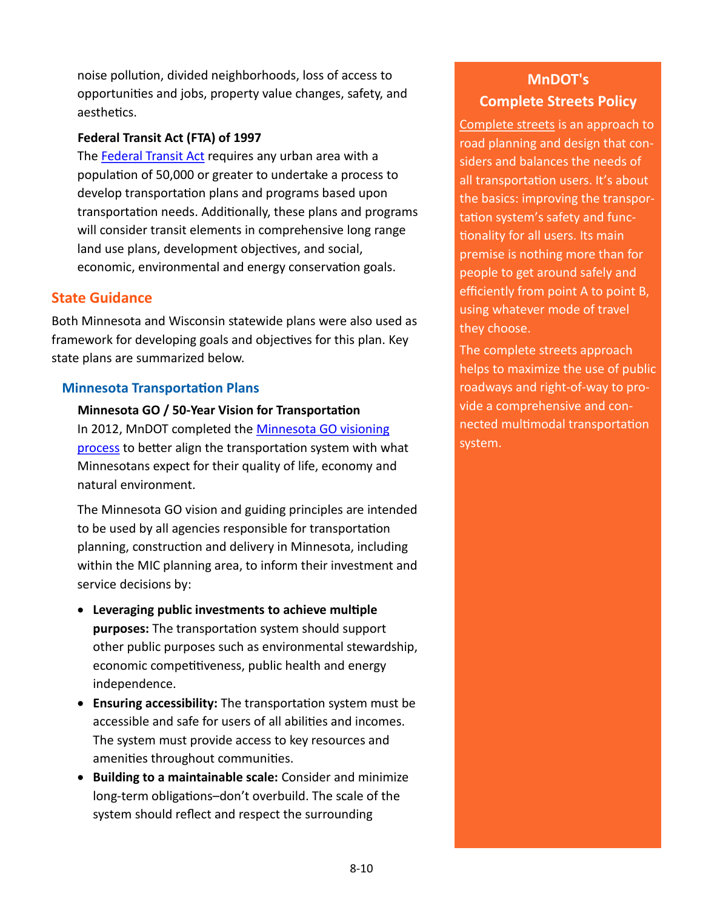noise pollution, divided neighborhoods, loss of access to opportunities and jobs, property value changes, safety, and aesthetics.

#### **Federal Transit Act (FTA) of 1997**

The [Federal](https://www.transit.dot.gov/FAST) Transit Act requires any urban area with a population of 50,000 or greater to undertake a process to develop transportation plans and programs based upon transportation needs. Additionally, these plans and programs will consider transit elements in comprehensive long range land use plans, development objectives, and social, economic, environmental and energy conservation goals.

#### **State Guidance**

Both Minnesota and Wisconsin statewide plans were also used as framework for developing goals and objectives for this plan. Key state plans are summarized below.

#### **Minnesota Transportation Plans**

#### **Minnesota GO / 50-Year Vision for Transportation**

In 2012, MnDOT completed the Minnesota GO visioning [process](http://www.dot.state.mn.us/minnesotago/vision.html) to better align the transportation system with what Minnesotans expect for their quality of life, economy and natural environment.

The Minnesota GO vision and guiding principles are intended to be used by all agencies responsible for transportation planning, construction and delivery in Minnesota, including within the MIC planning area, to inform their investment and service decisions by:

- **Leveraging public investments to achieve multiple purposes:** The transportation system should support other public purposes such as environmental stewardship, economic competitiveness, public health and energy independence.
- **Ensuring accessibility:** The transportation system must be accessible and safe for users of all abilities and incomes. The system must provide access to key resources and amenities throughout communities.
- **Building to a maintainable scale:** Consider and minimize long-term obligations–don't overbuild. The scale of the system should reflect and respect the surrounding

#### **MnDOT's Complete Streets Policy**

[Complete streets](https://www.dot.state.mn.us/planning/completestreets/) is an approach to road planning and design that considers and balances the needs of all transportation users. It's about the basics: improving the transportation system's safety and functionality for all users. Its main premise is nothing more than for people to get around safely and efficiently from point A to point B, using whatever mode of travel they choose.

The complete streets approach helps to maximize the use of public roadways and right-of-way to provide a comprehensive and connected multimodal transportation system.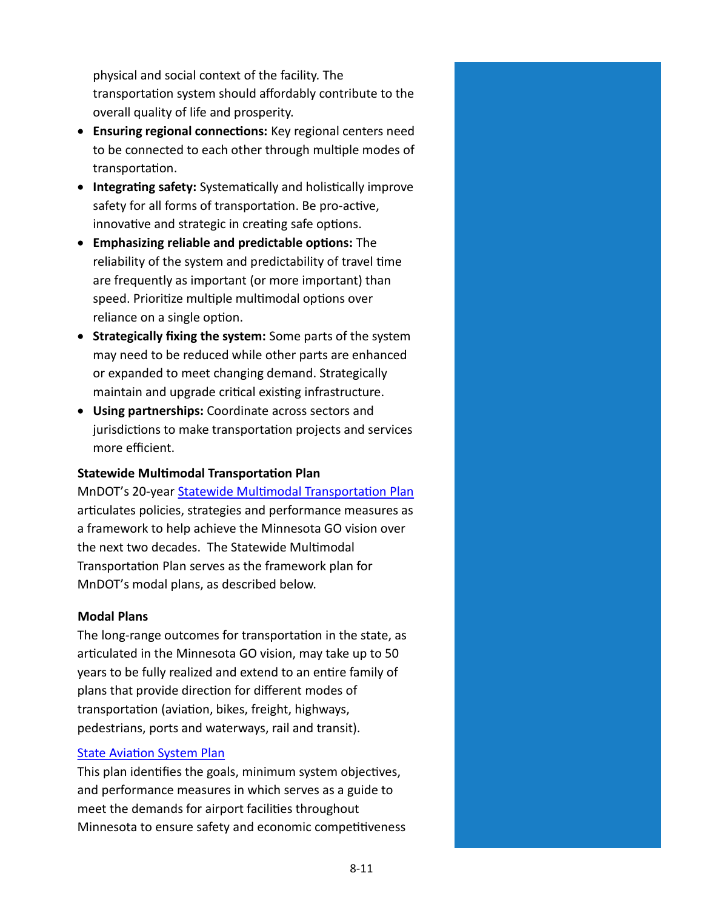physical and social context of the facility. The transportation system should affordably contribute to the overall quality of life and prosperity.

- **Ensuring regional connections:** Key regional centers need to be connected to each other through multiple modes of transportation.
- **Integrating safety:** Systematically and holistically improve safety for all forms of transportation. Be pro-active, innovative and strategic in creating safe options.
- **Emphasizing reliable and predictable options:** The reliability of the system and predictability of travel time are frequently as important (or more important) than speed. Prioritize multiple multimodal options over reliance on a single option.
- **Strategically fixing the system:** Some parts of the system may need to be reduced while other parts are enhanced or expanded to meet changing demand. Strategically maintain and upgrade critical existing infrastructure.
- **Using partnerships:** Coordinate across sectors and jurisdictions to make transportation projects and services more efficient.

#### **Statewide Multimodal Transportation Plan**

MnDOT's 20-year [Statewide Multimodal Transportation Plan](http://www.dot.state.mn.us/minnesotago/SMTP.html) articulates policies, strategies and performance measures as a framework to help achieve the Minnesota GO vision over the next two decades. The Statewide Multimodal Transportation Plan serves as the framework plan for MnDOT's modal plans, as described below.

#### **Modal Plans**

The long-range outcomes for transportation in the state, as articulated in the Minnesota GO vision, may take up to 50 years to be fully realized and extend to an entire family of plans that provide direction for different modes of transportation (aviation, bikes, freight, highways, pedestrians, ports and waterways, rail and transit).

#### [State Aviation System Plan](http://www.dot.state.mn.us/aero/planning/sasp.html)

This plan identifies the goals, minimum system objectives, and performance measures in which serves as a guide to meet the demands for airport facilities throughout Minnesota to ensure safety and economic competitiveness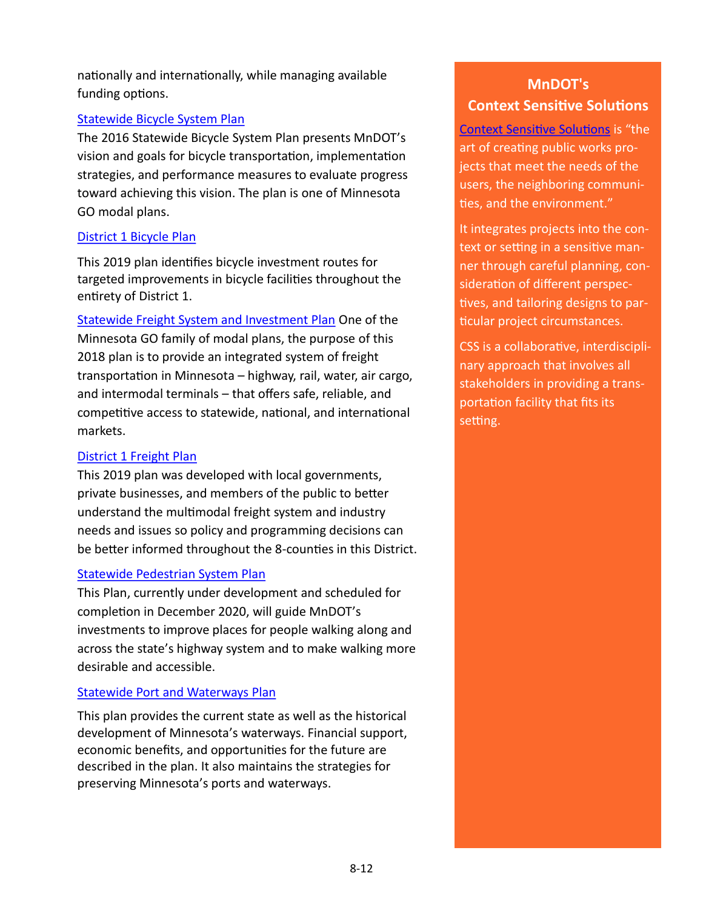nationally and internationally, while managing available funding options.

#### Statewide Bicycle System Plan

The 2016 Statewide Bicycle System Plan presents MnDOT's vision and goals for bicycle transportation, implementation strategies, and performance measures to evaluate progress toward achieving this vision. The plan is one of Minnesota GO modal plans.

#### District 1 [Bicycle P](https://www.dot.state.mn.us/bike/district-bicycle-plans.html)lan

This 2019 plan identifies bicycle investment routes for targeted improvements in bicycle facilities throughout the entirety of District 1.

[Statewide Freight System and Investment Plan](http://www.dot.state.mn.us/planning/freightplan/pdf/statewidefreightplanrevised2018.pdf) One of the Minnesota GO family of modal plans, the purpose of this 2018 plan is to provide an integrated system of freight transportation in Minnesota – highway, rail, water, air cargo, and intermodal terminals – that offers safe, reliable, and competitive access to statewide, national, and international markets.

#### [District 1 Freight Plan](http://www.dot.state.mn.us/ofrw/freight/districtfreightplan/d1.html)

This 2019 plan was developed with local governments, private businesses, and members of the public to better understand the multimodal freight system and industry needs and issues so policy and programming decisions can be better informed throughout the 8-counties in this District.

#### [Statewide Pedestrian System Plan](https://www.minnesotawalks.org/)

This Plan, currently under development and scheduled for completion in December 2020, will guide MnDOT's investments to improve places for people walking along and across the state's highway system and to make walking more desirable and accessible.

#### [Statewide Port and Waterways Plan](http://www.dot.state.mn.us/ofrw/waterways/pwp.html)

This plan provides the current state as well as the historical development of Minnesota's waterways. Financial support, economic benefits, and opportunities for the future are described in the plan. It also maintains the strategies for preserving Minnesota's ports and waterways.

#### **MnDOT's Context Sensitive Solutions**

[Context Sensitive Solutions](https://www.dot.state.mn.us/context-sensitive-solutions/about.html) is "the art of creating public works projects that meet the needs of the users, the neighboring communities, and the environment."

It integrates projects into the context or setting in a sensitive manner through careful planning, consideration of different perspectives, and tailoring designs to particular project circumstances.

CSS is a collaborative, interdisciplinary approach that involves all stakeholders in providing a transportation facility that fits its setting.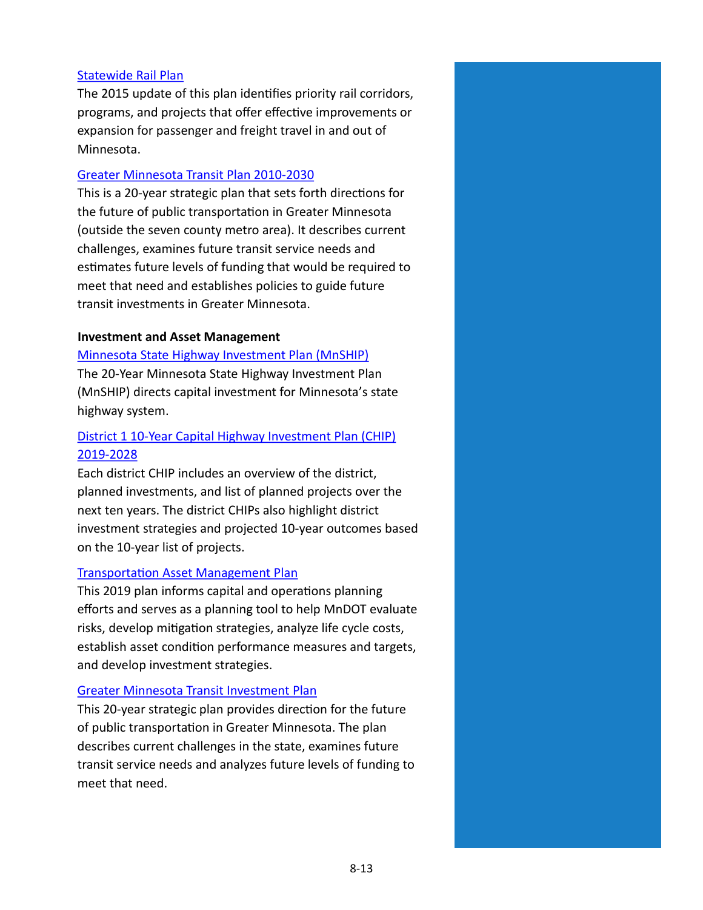#### <span id="page-12-0"></span>[Statewide Rail Plan](http://www.dot.state.mn.us/planning/railplan/resources.html)

The 2015 update of this plan identifies priority rail corridors, programs, and projects that offer effective improvements or expansion for passenger and freight travel in and out of Minnesota.

#### [Greater Minnesota Transit Plan 2010](https://www.dot.state.mn.us/transit/reports/transit-report/pdf/greater-mn-transit-plan.pdf)-2030

This is a 20-year strategic plan that sets forth directions for the future of public transportation in Greater Minnesota (outside the seven county metro area). It describes current challenges, examines future transit service needs and estimates future levels of funding that would be required to meet that need and establishes policies to guide future transit investments in Greater Minnesota.

#### **Investment and Asset Management**

#### [Minnesota State Highway Investment Plan \(MnSHIP\)](http://minnesotago.org/index.php?cID=475)

The 20-Year Minnesota State Highway Investment Plan (MnSHIP) directs capital investment for Minnesota's state highway system.

#### District 1 10-[Year Capital Highway Investment Plan \(CHIP\)](http://www.dot.state.mn.us/planning/10yearplan/pdf/2019/d1.pdf)  [2019](http://www.dot.state.mn.us/planning/10yearplan/pdf/2019/d1.pdf)-2028

Each district CHIP includes an overview of the district, planned investments, and list of planned projects over the next ten years. The district CHIPs also highlight district investment strategies and projected 10-year outcomes based on the 10-year list of projects.

#### [Transportation Asset Management Plan](https://www.dot.state.mn.us/assetmanagement/pdf/tamp/tamp.pdf)

This 2019 plan informs capital and operations planning efforts and serves as a planning tool to help MnDOT evaluate risks, develop mitigation strategies, analyze life cycle costs, establish asset condition performance measures and targets, and develop investment strategies.

#### [Greater Minnesota Transit Investment Plan](http://www.dot.state.mn.us/transit/reports/investmentplan/)

This 20-year strategic plan provides direction for the future of public transportation in Greater Minnesota. The plan describes current challenges in the state, examines future transit service needs and analyzes future levels of funding to meet that need.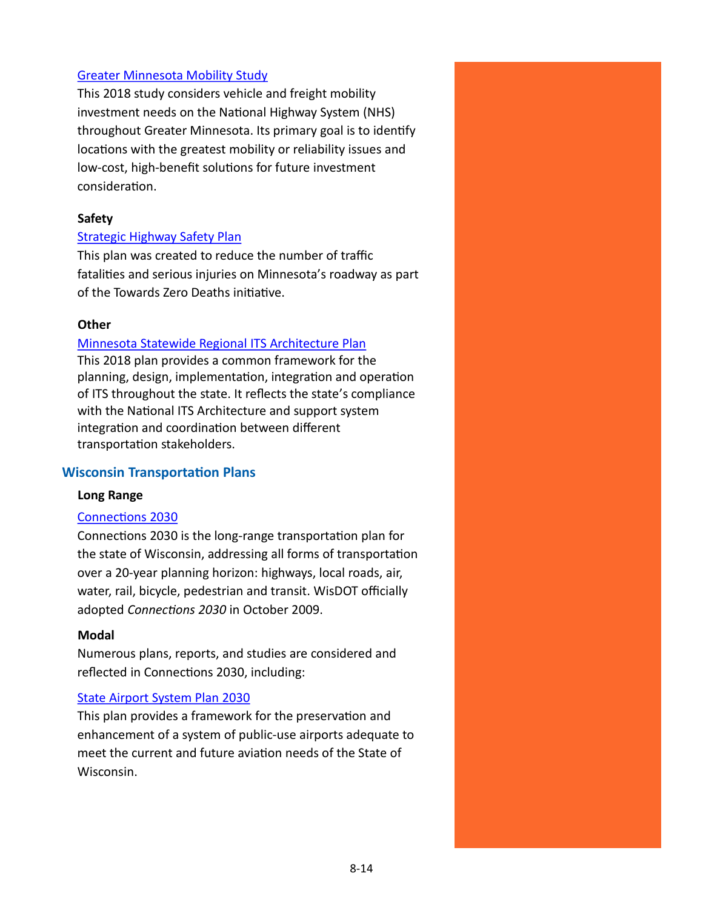#### [Greater Minnesota Mobility Study](http://www.dot.state.mn.us/planning/program/mobility/docs/gmms_report.pdf)

This 2018 study considers vehicle and freight mobility investment needs on the National Highway System (NHS) throughout Greater Minnesota. Its primary goal is to identify locations with the greatest mobility or reliability issues and low-cost, high-benefit solutions for future investment consideration.

#### **Safety**

#### [Strategic Highway Safety Plan](http://www.dot.state.mn.us/trafficeng/safety/shsp/)

This plan was created to reduce the number of traffic fatalities and serious injuries on Minnesota's roadway as part of the Towards Zero Deaths initiative.

#### **Other**

#### [Minnesota Statewide Regional ITS Architecture Plan](https://www.dot.state.mn.us/its/)

This 2018 plan provides a common framework for the planning, design, implementation, integration and operation of ITS throughout the state. It reflects the state's compliance with the National ITS Architecture and support system integration and coordination between different transportation stakeholders.

#### **Wisconsin Transportation Plans**

#### **Long Range**

#### [Connections](https://wisconsindot.gov/Pages/projects/multimodal/conn2030.aspx) 2030

Connections 2030 is the long-range transportation plan for the state of Wisconsin, addressing all forms of transportation over a 20-year planning horizon: highways, local roads, air, water, rail, bicycle, pedestrian and transit. WisDOT officially adopted *Connections 2030* in October 2009.

#### **Modal**

Numerous plans, reports, and studies are considered and reflected in Connections 2030, including:

#### State Airport [System](https://wisconsindot.gov/Pages/projects/multimodal/sasp/default.aspx) Plan 2030

This plan provides a framework for the preservation and enhancement of a system of public-use airports adequate to meet the current and future aviation needs of the State of Wisconsin.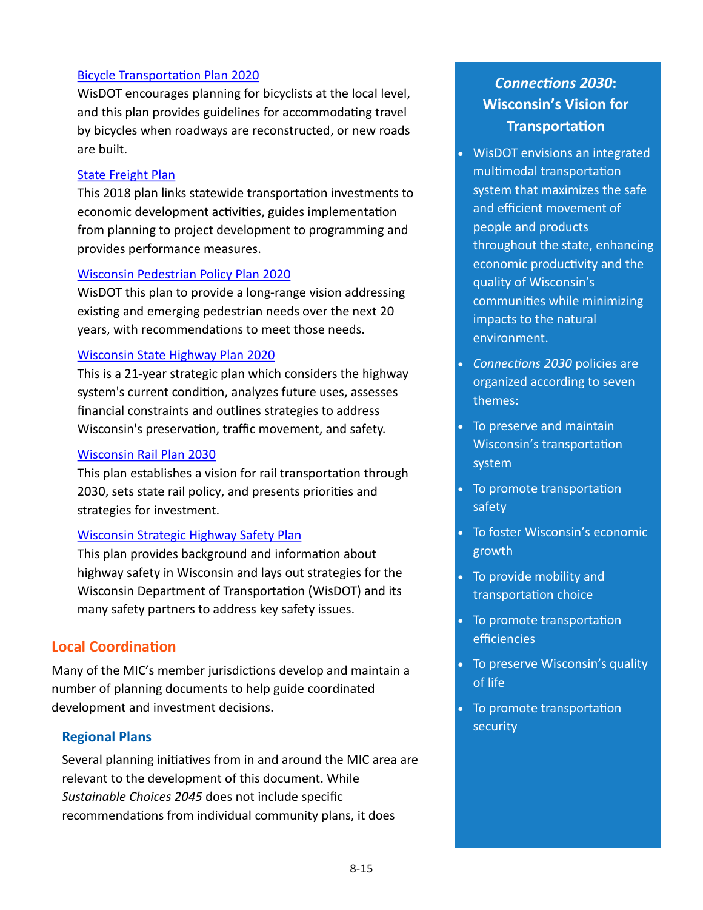#### Bicycle [Transportation](https://wisconsindot.gov/Pages/projects/multimodal/bikeplan2020.aspx) Plan 2020

WisDOT encourages planning for bicyclists at the local level, and this plan provides guidelines for accommodating travel by bicycles when roadways are reconstructed, or new roads are built.

#### [State Freight Plan](https://wisconsindot.gov/Pages/projects/sfp/default.aspx)

This 2018 plan links statewide transportation investments to economic development activities, guides implementation from planning to project development to programming and provides performance measures.

#### Wisconsin [Pedestrian](https://wisconsindot.gov/Pages/projects/multimodal/pedplan2020.aspx) Policy Plan 2020

WisDOT this plan to provide a long-range vision addressing existing and emerging pedestrian needs over the next 20 years, with recommendations to meet those needs.

#### [Wisconsin](https://wisconsindot.gov/Documents/projects/multimodal/hwy2020-plan.pdf) State Highway Plan 2020

This is a 21-year strategic plan which considers the highway system's current condition, analyzes future uses, assesses financial constraints and outlines strategies to address Wisconsin's preservation, traffic movement, and safety.

#### [Wisconsin](https://wisconsindot.gov/Pages/projects/multimodal/railplan/default.aspx) Rail Plan 2030

This plan establishes a vision for rail transportation through 2030, sets state rail policy, and presents priorities and strategies for investment.

#### [Wisconsin](http://www.dot.wisconsin.gov/library/publications/topic/safety/hwy-strategic-safety-plan.pdf) Strategic Highway Safety Plan

This plan provides background and information about highway safety in Wisconsin and lays out strategies for the Wisconsin Department of Transportation (WisDOT) and its many safety partners to address key safety issues.

#### **Local Coordination**

Many of the MIC's member jurisdictions develop and maintain a number of planning documents to help guide coordinated development and investment decisions.

#### **Regional Plans**

Several planning initiatives from in and around the MIC area are relevant to the development of this document. While *Sustainable Choices 2045* does not include specific recommendations from individual community plans, it does

#### *Connections 2030***: Wisconsin's Vision for Transportation**

- WisDOT envisions an integrated multimodal transportation system that maximizes the safe and efficient movement of people and products throughout the state, enhancing economic productivity and the quality of Wisconsin's communities while minimizing impacts to the natural environment.
- *Connections 2030* policies are organized according to seven themes:
- To preserve and maintain Wisconsin's transportation system
- To promote transportation safety
- To foster Wisconsin's economic growth
- To provide mobility and transportation choice
- To promote transportation efficiencies
- To preserve Wisconsin's quality of life
- To promote transportation security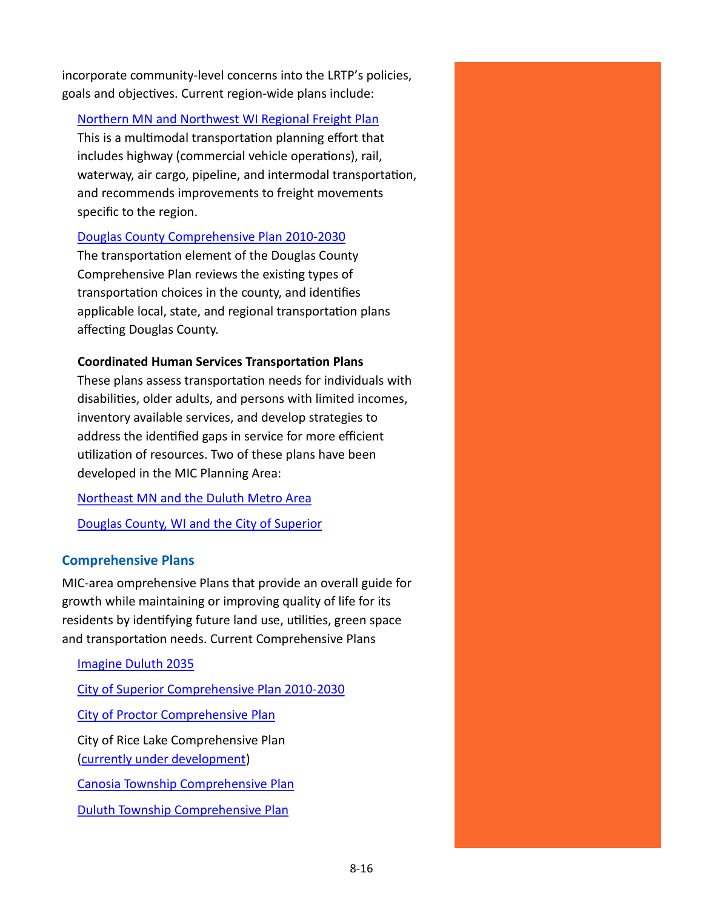<span id="page-15-0"></span>incorporate community-level concerns into the LRTP's policies, goals and objectives. Current region-wide plans include:

#### Northern MN and [Northwest](http://www.dot.state.mn.us/ofrw/PDF/northernregionalfreightplan.pdf) WI Regional Freight Plan

This is a multimodal transportation planning effort that includes highway (commercial vehicle operations), rail, waterway, air cargo, pipeline, and intermodal transportation, and recommends improvements to freight movements specific to the region.

#### Douglas County [Comprehensive](http://www.douglascountywi.org/index.aspx?NID=565) Plan 2010-2030

The transportation element of the Douglas County Comprehensive Plan reviews the existing types of transportation choices in the county, and identifies applicable local, state, and regional transportation plans affecting Douglas County.

#### **Coordinated Human Services Transportation Plans**

These plans assess transportation needs for individuals with disabilities, older adults, and persons with limited incomes, inventory available services, and develop strategies to address the identified gaps in service for more efficient utilization of resources. Two of these plans have been developed in the MIC Planning Area:

[Northeast](http://www.coordinatemntransit.org/regional/regionalplans/2017/documents/2017_Region_3_Local_Human_Service_Public_Transit_Coordination_Plan.pdf) MN and the Duluth Metro Area

Douglas County, WI and the City of [Superior](https://dsmic.org/wp-content/uploads/2017/02/Douglas-Co-Human-Services-Coordinated-Transit-Plan-2013.pdf)

#### **Comprehensive Plans**

MIC-area omprehensive Plans that provide an overall guide for growth while maintaining or improving quality of life for its residents by identifying future land use, utilities, green space and transportation needs. Current Comprehensive Plans

[Imagine Duluth 2035](http://www.imagineduluth.com/document)

[City of Superior Comprehensive Plan 2010](http://www.ci.superior.wi.us/DocumentCenter/View/5401)-2030

City of Proctor [Comprehensive](https://www.arcgis.com/home/item.html?id=974bb6b4ea034312a1e565025b257ef4) Plan

City of Rice Lake Comprehensive Plan ([currently under development\)](https://www.ricelakecitymn.com/public-information/community-news/comprehensive-plan/)

Canosia Township [Comprehensive](http://www.canosiatownship.org/wp-content/uploads/2017/09/2019-Comprehensive-Plan-Update-1.pdf) Plan

Duluth Township [Comprehensive](http://www.duluthtownship.org/pdf/comp_land_use_plan.pdf) Plan